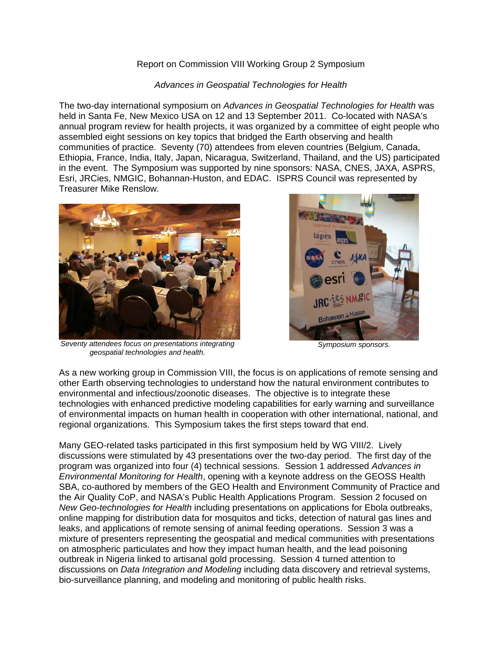## Report on Commission VIII Working Group 2 Symposium

## *Advances in Geospatial Technologies for Health*

The two-day international symposium on *Advances in Geospatial Technologies for Health* was held in Santa Fe, New Mexico USA on 12 and 13 September 2011. Co-located with NASA's annual program review for health projects, it was organized by a committee of eight people who assembled eight sessions on key topics that bridged the Earth observing and health communities of practice. Seventy (70) attendees from eleven countries (Belgium, Canada, Ethiopia, France, India, Italy, Japan, Nicaragua, Switzerland, Thailand, and the US) participated in the event. The Symposium was supported by nine sponsors: NASA, CNES, JAXA, ASPRS, Esri, JRCies, NMGIC, Bohannan-Huston, and EDAC. ISPRS Council was represented by Treasurer Mike Renslow.



*Seventy attendees focus on presentations integrating geospatial technologies and health.*



*Symposium sponsors.* 

As a new working group in Commission VIII, the focus is on applications of remote sensing and other Earth observing technologies to understand how the natural environment contributes to environmental and infectious/zoonotic diseases. The objective is to integrate these technologies with enhanced predictive modeling capabilities for early warning and surveillance of environmental impacts on human health in cooperation with other international, national, and regional organizations. This Symposium takes the first steps toward that end.

Many GEO-related tasks participated in this first symposium held by WG VIII/2. Lively discussions were stimulated by 43 presentations over the two-day period. The first day of the program was organized into four (4) technical sessions. Session 1 addressed *Advances in Environmental Monitoring for Health*, opening with a keynote address on the GEOSS Health SBA, co-authored by members of the GEO Health and Environment Community of Practice and the Air Quality CoP, and NASA's Public Health Applications Program. Session 2 focused on *New Geo-technologies for Health* including presentations on applications for Ebola outbreaks, online mapping for distribution data for mosquitos and ticks, detection of natural gas lines and leaks, and applications of remote sensing of animal feeding operations. Session 3 was a mixture of presenters representing the geospatial and medical communities with presentations on atmospheric particulates and how they impact human health, and the lead poisoning outbreak in Nigeria linked to artisanal gold processing. Session 4 turned attention to discussions on *Data Integration and Modeling* including data discovery and retrieval systems, bio-surveillance planning, and modeling and monitoring of public health risks.